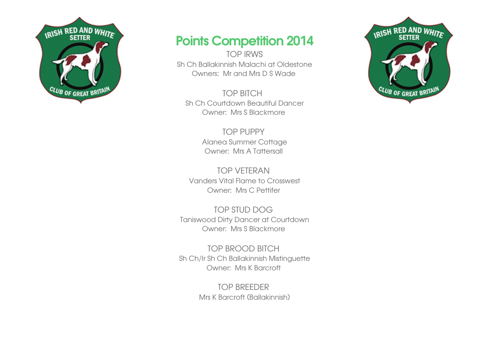

## Points Competition 2014

TOP IRWS Sh Ch Ballakinnish Malachi at Oldestone Owners: Mr and Mrs D S Wade

TOP BITCH Sh Ch Courtdown Beautiful Dancer Owner: Mrs S Blackmore

> TOP PUPPY Alanea Summer Cottage Owner: Mrs A Tattersall

TOP VETERAN Vanders Vital Flame to Crosswest Owner: Mrs C Pettifer

TOP STUD DOG Taniswood Dirty Dancer at Courtdown Owner: Mrs S Blackmore

TOP BROOD BITCH Sh Ch/Ir Sh Ch Ballakinnish Mistinguette Owner: Mrs K Barcroft

> TOP BREEDER Mrs K Barcroft (Ballakinnish)